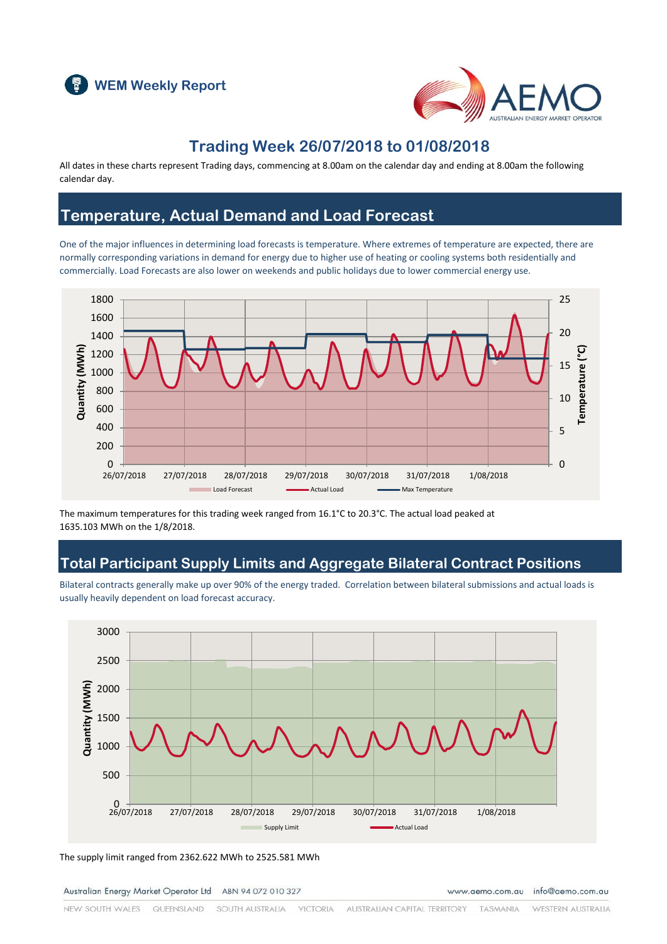



### **Trading Week 26/07/2018 to 01/08/2018**

All dates in these charts represent Trading days, commencing at 8.00am on the calendar day and ending at 8.00am the following calendar day.

### **Temperature, Actual Demand and Load Forecast**

One of the major influences in determining load forecasts is temperature. Where extremes of temperature are expected, there are normally corresponding variations in demand for energy due to higher use of heating or cooling systems both residentially and commercially. Load Forecasts are also lower on weekends and public holidays due to lower commercial energy use.



The maximum temperatures for this trading week ranged from 16.1°C to 20.3°C. The actual load peaked at 1635.103 MWh on the 1/8/2018.

### **Total Participant Supply Limits and Aggregate Bilateral Contract Positions**

Bilateral contracts generally make up over 90% of the energy traded. Correlation between bilateral submissions and actual loads is usually heavily dependent on load forecast accuracy.



The supply limit ranged from 2362.622 MWh to 2525.581 MWh

Australian Energy Market Operator Ltd ABN 94 072 010 327

www.aemo.com.au info@aemo.com.au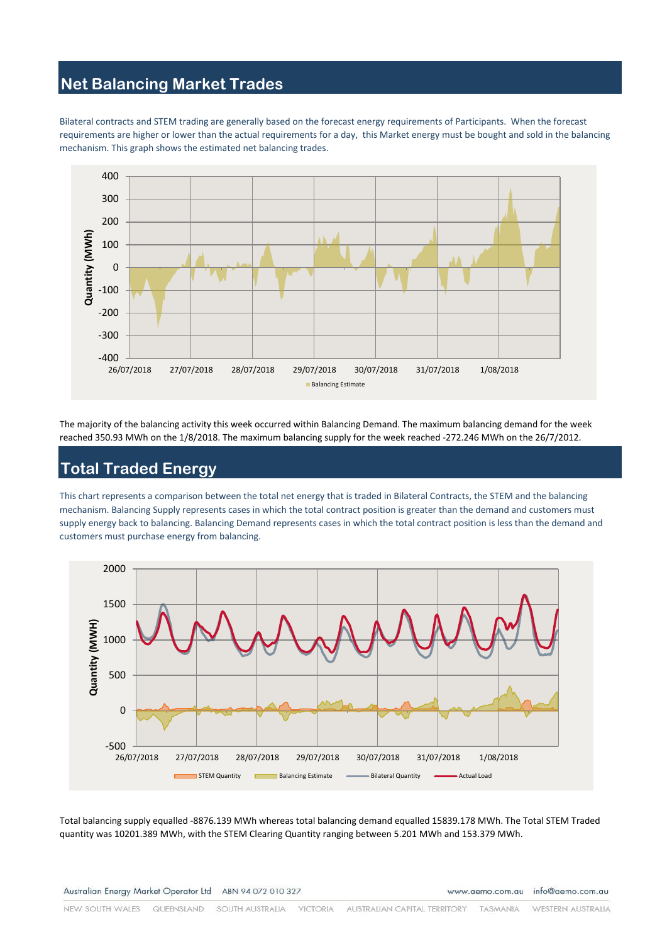# **Net Balancing Market Trades**

Bilateral contracts and STEM trading are generally based on the forecast energy requirements of Participants. When the forecast requirements are higher or lower than the actual requirements for a day, this Market energy must be bought and sold in the balancing mechanism. This graph shows the estimated net balancing trades.



The majority of the balancing activity this week occurred within Balancing Demand. The maximum balancing demand for the week reached 350.93 MWh on the 1/8/2018. The maximum balancing supply for the week reached -272.246 MWh on the 26/7/2012.

# **Total Traded Energy**

This chart represents a comparison between the total net energy that is traded in Bilateral Contracts, the STEM and the balancing mechanism. Balancing Supply represents cases in which the total contract position is greater than the demand and customers must supply energy back to balancing. Balancing Demand represents cases in which the total contract position is less than the demand and customers must purchase energy from balancing.



Total balancing supply equalled -8876.139 MWh whereas total balancing demand equalled 15839.178 MWh. The Total STEM Traded quantity was 10201.389 MWh, with the STEM Clearing Quantity ranging between 5.201 MWh and 153.379 MWh.

Australian Energy Market Operator Ltd ABN 94 072 010 327

www.aemo.com.au info@aemo.com.au